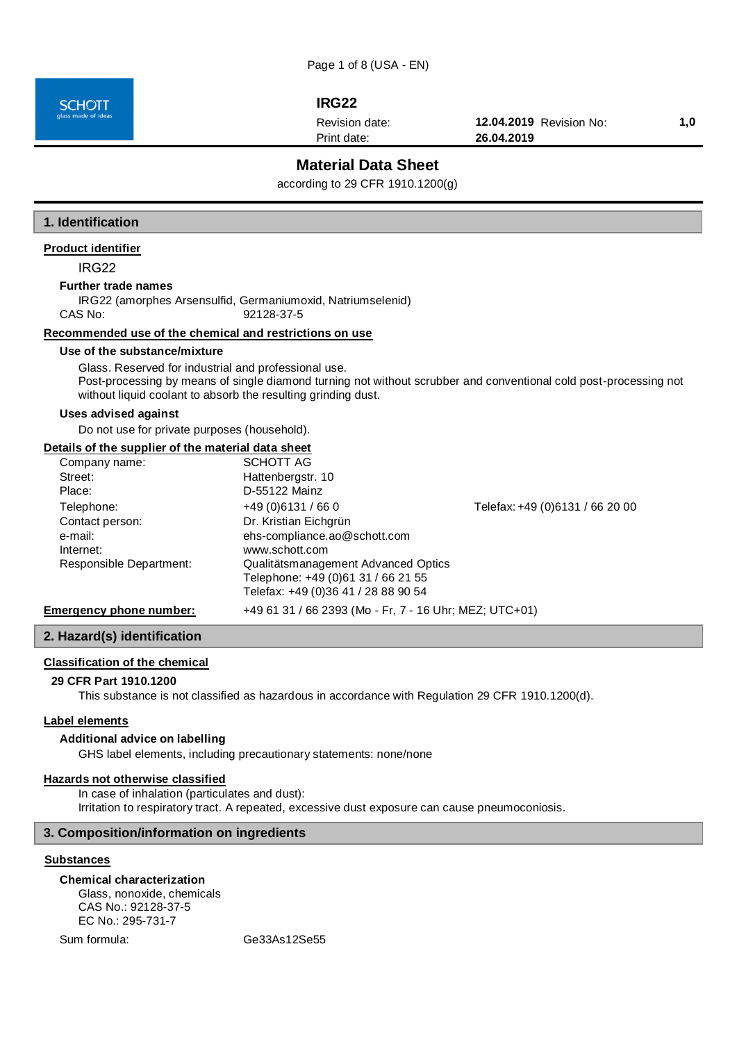Page 1 of 8 (USA - EN)

**SCHOTT** 

# **IRG22**

Revision date:

Print date:

**12.04.2019** Revision No: **1,0 26.04.2019**

# **Material Data Sheet**

according to 29 CFR 1910.1200(g)

#### **1. Identification**

### **Product identifier**

IRG22

## **Further trade names**

IRG22 (amorphes Arsensulfid, Germaniumoxid, Natriumselenid) CAS No: 92128-37-5

#### **Recommended use of the chemical and restrictions on use**

#### **Use of the substance/mixture**

Glass. Reserved for industrial and professional use. Post-processing by means of single diamond turning not without scrubber and conventional cold post-processing not without liquid coolant to absorb the resulting grinding dust.

#### **Uses advised against**

Do not use for private purposes (household).

#### **Details of the supplier of the material data sheet**

| Company name:                  | SCHOTT AG                                              |                                 |
|--------------------------------|--------------------------------------------------------|---------------------------------|
| Street:                        | Hattenbergstr. 10                                      |                                 |
| Place:                         | D-55122 Mainz                                          |                                 |
| Telephone:                     | $+49(0)6131/660$                                       | Telefax: +49 (0)6131 / 66 20 00 |
| Contact person:                | Dr. Kristian Eichgrün                                  |                                 |
| e-mail:                        | ehs-compliance.ao@schott.com                           |                                 |
| Internet:                      | www.schott.com                                         |                                 |
| Responsible Department:        | Qualitätsmanagement Advanced Optics                    |                                 |
|                                | Telephone: +49 (0)61 31 / 66 21 55                     |                                 |
|                                | Telefax: +49 (0)36 41 / 28 88 90 54                    |                                 |
| <b>Emergency phone number:</b> | +49 61 31 / 66 2393 (Mo - Fr, 7 - 16 Uhr; MEZ; UTC+01) |                                 |

## **2. Hazard(s) identification**

#### **Classification of the chemical**

#### **29 CFR Part 1910.1200**

This substance is not classified as hazardous in accordance with Regulation 29 CFR 1910.1200(d).

#### **Label elements**

#### **Additional advice on labelling**

GHS label elements, including precautionary statements: none/none

# **Hazards not otherwise classified**

In case of inhalation (particulates and dust): Irritation to respiratory tract. A repeated, excessive dust exposure can cause pneumoconiosis.

#### **3. Composition/information on ingredients**

# **Substances**

#### **Chemical characterization**

Glass, nonoxide, chemicals CAS No.: 92128-37-5 EC No.: 295-731-7

Sum formula: Ge33As12Se55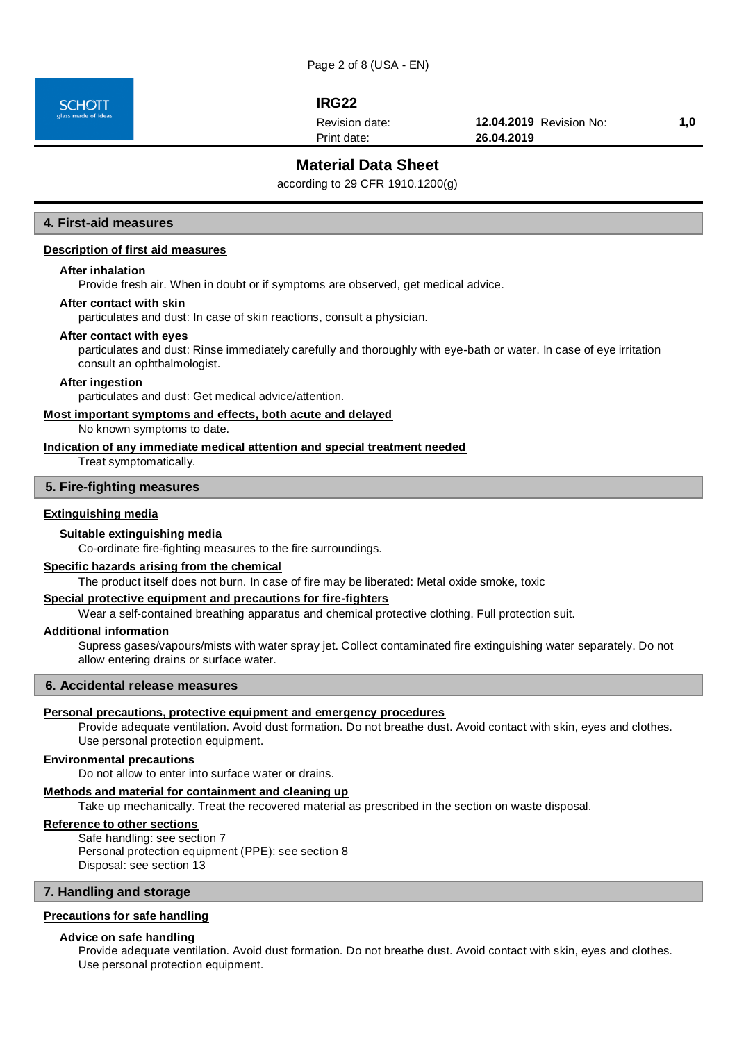**SCHOTT** 

# **IRG22**

Revision date:

Print date:

**12.04.2019** Revision No: **1,0 26.04.2019**

# **Material Data Sheet**

according to 29 CFR 1910.1200(g)

# **4. First-aid measures**

## **Description of first aid measures**

#### **After inhalation**

Provide fresh air. When in doubt or if symptoms are observed, get medical advice.

#### **After contact with skin**

particulates and dust: In case of skin reactions, consult a physician.

#### **After contact with eyes**

particulates and dust: Rinse immediately carefully and thoroughly with eye-bath or water. In case of eye irritation consult an ophthalmologist.

#### **After ingestion**

particulates and dust: Get medical advice/attention.

# **Most important symptoms and effects, both acute and delayed**

No known symptoms to date.

**Indication of any immediate medical attention and special treatment needed** Treat symptomatically.

#### **5. Fire-fighting measures**

#### **Extinguishing media**

#### **Suitable extinguishing media**

Co-ordinate fire-fighting measures to the fire surroundings.

#### **Specific hazards arising from the chemical**

The product itself does not burn. In case of fire may be liberated: Metal oxide smoke, toxic

#### **Special protective equipment and precautions for fire-fighters**

Wear a self-contained breathing apparatus and chemical protective clothing. Full protection suit.

#### **Additional information**

Supress gases/vapours/mists with water spray jet. Collect contaminated fire extinguishing water separately. Do not allow entering drains or surface water.

## **6. Accidental release measures**

#### **Personal precautions, protective equipment and emergency procedures**

Provide adequate ventilation. Avoid dust formation. Do not breathe dust. Avoid contact with skin, eyes and clothes. Use personal protection equipment.

#### **Environmental precautions**

Do not allow to enter into surface water or drains.

#### **Methods and material for containment and cleaning up**

Take up mechanically. Treat the recovered material as prescribed in the section on waste disposal.

## **Reference to other sections**

Safe handling: see section 7 Personal protection equipment (PPE): see section 8 Disposal: see section 13

#### **7. Handling and storage**

#### **Precautions for safe handling**

#### **Advice on safe handling**

Provide adequate ventilation. Avoid dust formation. Do not breathe dust. Avoid contact with skin, eyes and clothes. Use personal protection equipment.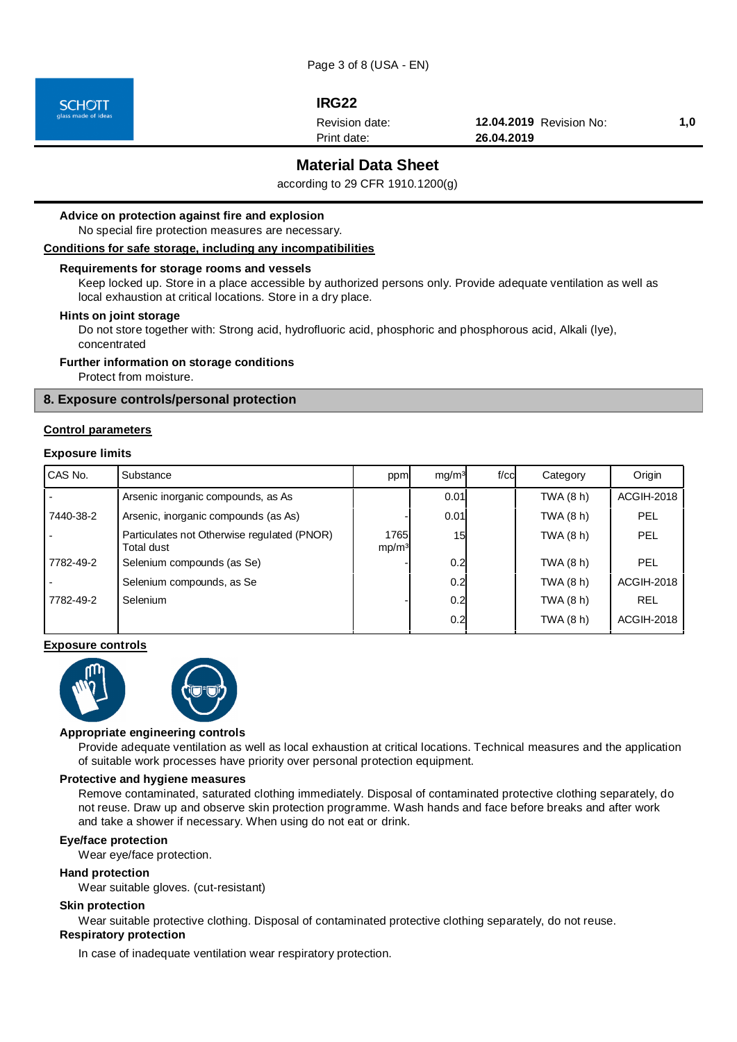

# **IRG22**

Revision date:

Print date:

**12.04.2019** Revision No: **1,0 26.04.2019**

# **Material Data Sheet**

according to 29 CFR 1910.1200(g)

## **Advice on protection against fire and explosion**

No special fire protection measures are necessary.

## **Conditions for safe storage, including any incompatibilities**

#### **Requirements for storage rooms and vessels**

Keep locked up. Store in a place accessible by authorized persons only. Provide adequate ventilation as well as local exhaustion at critical locations. Store in a dry place.

#### **Hints on joint storage**

Do not store together with: Strong acid, hydrofluoric acid, phosphoric and phosphorous acid, Alkali (lye), concentrated

#### **Further information on storage conditions**

Protect from moisture.

# **8. Exposure controls/personal protection**

#### **Control parameters**

#### **Exposure limits**

| CAS No.   | Substance                                                 | ppm                        | mq/m <sup>3</sup> | $f$ / $c$ cl | Category  | Origin            |
|-----------|-----------------------------------------------------------|----------------------------|-------------------|--------------|-----------|-------------------|
|           | Arsenic inorganic compounds, as As                        |                            | 0.01              |              | TWA (8 h) | <b>ACGIH-2018</b> |
| 7440-38-2 | Arsenic, inorganic compounds (as As)                      |                            | 0.01              |              | TWA (8 h) | <b>PEL</b>        |
|           | Particulates not Otherwise regulated (PNOR)<br>Total dust | 1765l<br>mp/m <sup>3</sup> | 15                |              | TWA (8 h) | PEL               |
| 7782-49-2 | Selenium compounds (as Se)                                |                            | 0.2               |              | TWA (8 h) | PEL               |
|           | Selenium compounds, as Se                                 |                            | 0.2               |              | TWA (8 h) | <b>ACGIH-2018</b> |
| 7782-49-2 | Selenium                                                  |                            | 0.2               |              | TWA (8 h) | <b>REL</b>        |
|           |                                                           |                            | 0.2               |              | TWA (8 h) | <b>ACGIH-2018</b> |

#### **Exposure controls**



#### **Appropriate engineering controls**

Provide adequate ventilation as well as local exhaustion at critical locations. Technical measures and the application of suitable work processes have priority over personal protection equipment.

#### **Protective and hygiene measures**

Remove contaminated, saturated clothing immediately. Disposal of contaminated protective clothing separately, do not reuse. Draw up and observe skin protection programme. Wash hands and face before breaks and after work and take a shower if necessary. When using do not eat or drink.

#### **Eye/face protection**

Wear eye/face protection.

#### **Hand protection**

Wear suitable gloves. (cut-resistant)

#### **Skin protection**

Wear suitable protective clothing. Disposal of contaminated protective clothing separately, do not reuse. **Respiratory protection**

In case of inadequate ventilation wear respiratory protection.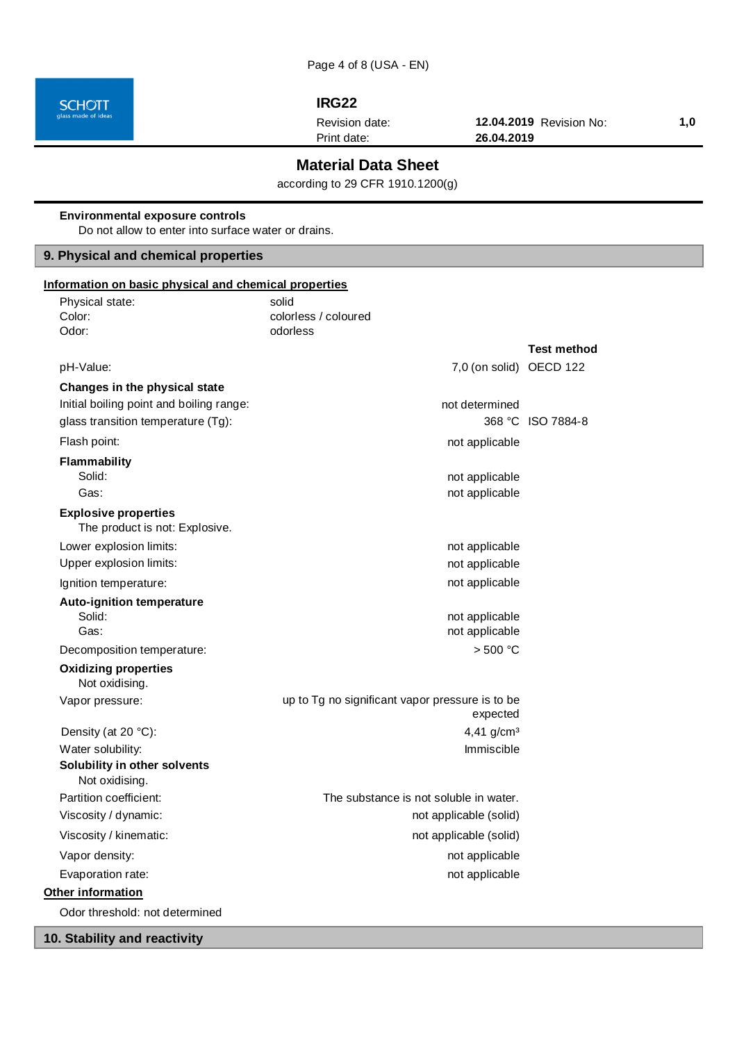

I

# **IRG22**

Revision date:

Print date:

**12.04.2019** Revision No: **1,0 26.04.2019**

# **Material Data Sheet**

according to 29 CFR 1910.1200(g)

| <b>Environmental exposure controls</b><br>Do not allow to enter into surface water or drains.                   |                                                             |                    |  |  |
|-----------------------------------------------------------------------------------------------------------------|-------------------------------------------------------------|--------------------|--|--|
| 9. Physical and chemical properties                                                                             |                                                             |                    |  |  |
| Information on basic physical and chemical properties                                                           |                                                             |                    |  |  |
| Physical state:<br>Color:<br>Odor:                                                                              | solid<br>colorless / coloured<br>odorless                   |                    |  |  |
|                                                                                                                 |                                                             | <b>Test method</b> |  |  |
| pH-Value:                                                                                                       | 7,0 (on solid) OECD 122                                     |                    |  |  |
| Changes in the physical state<br>Initial boiling point and boiling range:<br>glass transition temperature (Tg): | not determined                                              | 368 °C ISO 7884-8  |  |  |
| Flash point:                                                                                                    | not applicable                                              |                    |  |  |
| Flammability<br>Solid:<br>Gas:                                                                                  | not applicable<br>not applicable                            |                    |  |  |
| <b>Explosive properties</b><br>The product is not: Explosive.                                                   |                                                             |                    |  |  |
| Lower explosion limits:<br>Upper explosion limits:                                                              | not applicable<br>not applicable                            |                    |  |  |
| Ignition temperature:                                                                                           | not applicable                                              |                    |  |  |
| <b>Auto-ignition temperature</b><br>Solid:<br>Gas:                                                              | not applicable<br>not applicable                            |                    |  |  |
| Decomposition temperature:                                                                                      | > 500 °C                                                    |                    |  |  |
| <b>Oxidizing properties</b><br>Not oxidising.                                                                   |                                                             |                    |  |  |
| Vapor pressure:                                                                                                 | up to Tg no significant vapor pressure is to be<br>expected |                    |  |  |
| Density (at 20 °C):                                                                                             | 4,41 $g/cm3$                                                |                    |  |  |
| Water solubility:<br>Solubility in other solvents<br>Not oxidising.                                             | Immiscible                                                  |                    |  |  |
| Partition coefficient:                                                                                          | The substance is not soluble in water.                      |                    |  |  |
| Viscosity / dynamic:                                                                                            | not applicable (solid)                                      |                    |  |  |
| Viscosity / kinematic:                                                                                          | not applicable (solid)                                      |                    |  |  |
| Vapor density:                                                                                                  | not applicable                                              |                    |  |  |
| Evaporation rate:                                                                                               | not applicable                                              |                    |  |  |
| Other information<br>Odor threshold: not determined                                                             |                                                             |                    |  |  |
|                                                                                                                 |                                                             |                    |  |  |

# **10. Stability and reactivity**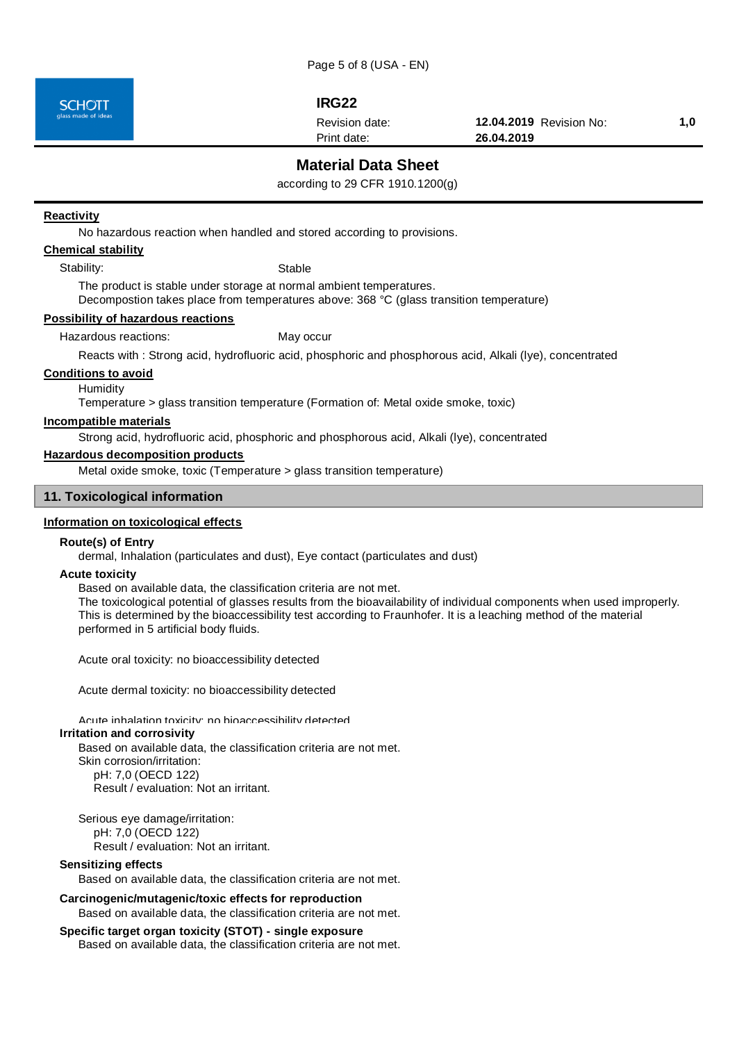

# **IRG22**

Revision date:

Print date:

**12.04.2019** Revision No: **1,0 26.04.2019**

# **Material Data Sheet**

according to 29 CFR 1910.1200(g)

#### **Reactivity**

No hazardous reaction when handled and stored according to provisions.

## **Chemical stability**

Stability: Stable

The product is stable under storage at normal ambient temperatures. Decompostion takes place from temperatures above: 368 °C (glass transition temperature)

**Possibility of hazardous reactions**

Hazardous reactions: May occur

Reacts with : Strong acid, hydrofluoric acid, phosphoric and phosphorous acid, Alkali (lye), concentrated

#### **Conditions to avoid**

**Humidity** 

Temperature > glass transition temperature (Formation of: Metal oxide smoke, toxic)

# **Incompatible materials**

Strong acid, hydrofluoric acid, phosphoric and phosphorous acid, Alkali (lye), concentrated

#### **Hazardous decomposition products**

Metal oxide smoke, toxic (Temperature > glass transition temperature)

#### **11. Toxicological information**

# **Information on toxicological effects**

#### **Route(s) of Entry**

dermal, Inhalation (particulates and dust), Eye contact (particulates and dust)

#### **Acute toxicity**

Based on available data, the classification criteria are not met.

The toxicological potential of glasses results from the bioavailability of individual components when used improperly. This is determined by the bioaccessibility test according to Fraunhofer. It is a leaching method of the material performed in 5 artificial body fluids.

Acute oral toxicity: no bioaccessibility detected

Acute dermal toxicity: no bioaccessibility detected

#### Acute inhalation toxicity: no bioaccessibility detected

### **Irritation and corrosivity**

Based on available data, the classification criteria are not met.

Skin corrosion/irritation: pH: 7,0 (OECD 122)

Result / evaluation: Not an irritant.

Serious eye damage/irritation: pH: 7,0 (OECD 122) Result / evaluation: Not an irritant.

#### **Sensitizing effects**

Based on available data, the classification criteria are not met.

#### **Carcinogenic/mutagenic/toxic effects for reproduction**

Based on available data, the classification criteria are not met.

#### **Specific target organ toxicity (STOT) - single exposure**

Based on available data, the classification criteria are not met.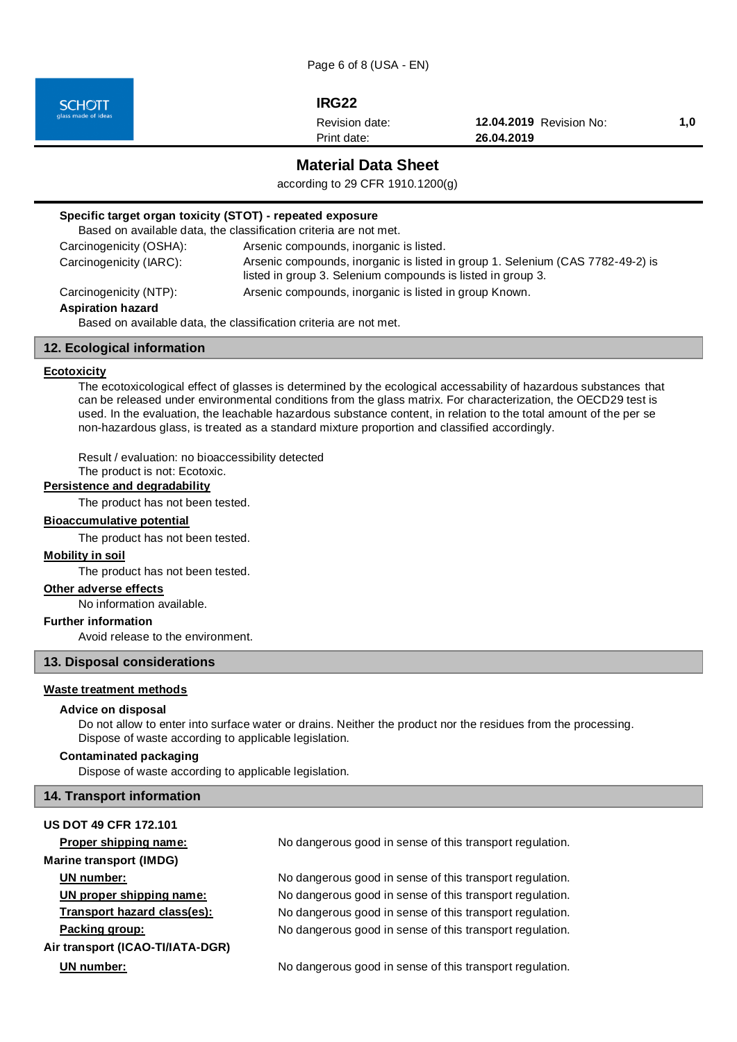Page 6 of 8 (USA - EN)

**SCHOTT** 

# **IRG22**

Print date: Revision date:

**12.04.2019** Revision No: **1,0 26.04.2019**

**Material Data Sheet**

according to 29 CFR 1910.1200(g)

# **Specific target organ toxicity (STOT) - repeated exposure**

|                                                                                               | Based on available data, the classification criteria are not met.                                                                             |  |
|-----------------------------------------------------------------------------------------------|-----------------------------------------------------------------------------------------------------------------------------------------------|--|
| Carcinogenicity (OSHA):                                                                       | Arsenic compounds, inorganic is listed.                                                                                                       |  |
| Carcinogenicity (IARC):                                                                       | Arsenic compounds, inorganic is listed in group 1. Selenium (CAS 7782-49-2) is<br>listed in group 3. Selenium compounds is listed in group 3. |  |
| Carcinogenicity (NTP):                                                                        | Arsenic compounds, inorganic is listed in group Known.                                                                                        |  |
| <b>Aspiration hazard</b><br>Based on available data, the classification criteria are not met. |                                                                                                                                               |  |

## **12. Ecological information**

## **Ecotoxicity**

The ecotoxicological effect of glasses is determined by the ecological accessability of hazardous substances that can be released under environmental conditions from the glass matrix. For characterization, the OECD29 test is used. In the evaluation, the leachable hazardous substance content, in relation to the total amount of the per se non-hazardous glass, is treated as a standard mixture proportion and classified accordingly.

Result / evaluation: no bioaccessibility detected

The product is not: Ecotoxic.

# **Persistence and degradability**

The product has not been tested.

#### **Bioaccumulative potential**

The product has not been tested.

#### **Mobility in soil**

The product has not been tested.

## **Other adverse effects**

No information available.

#### **Further information**

Avoid release to the environment.

## **13. Disposal considerations**

## **Waste treatment methods**

## **Advice on disposal**

Do not allow to enter into surface water or drains. Neither the product nor the residues from the processing. Dispose of waste according to applicable legislation.

#### **Contaminated packaging**

Dispose of waste according to applicable legislation.

#### **14. Transport information**

# **US DOT 49 CFR 172.101**

**Marine transport (IMDG)**

**Air transport (ICAO-TI/IATA-DGR)**

**Proper shipping name:** No dangerous good in sense of this transport regulation.

**UN number:** No dangerous good in sense of this transport regulation. **UN proper shipping name:** No dangerous good in sense of this transport regulation. **Transport hazard class(es):** No dangerous good in sense of this transport regulation. **Packing group:** No dangerous good in sense of this transport regulation.

**UN number:** No dangerous good in sense of this transport regulation.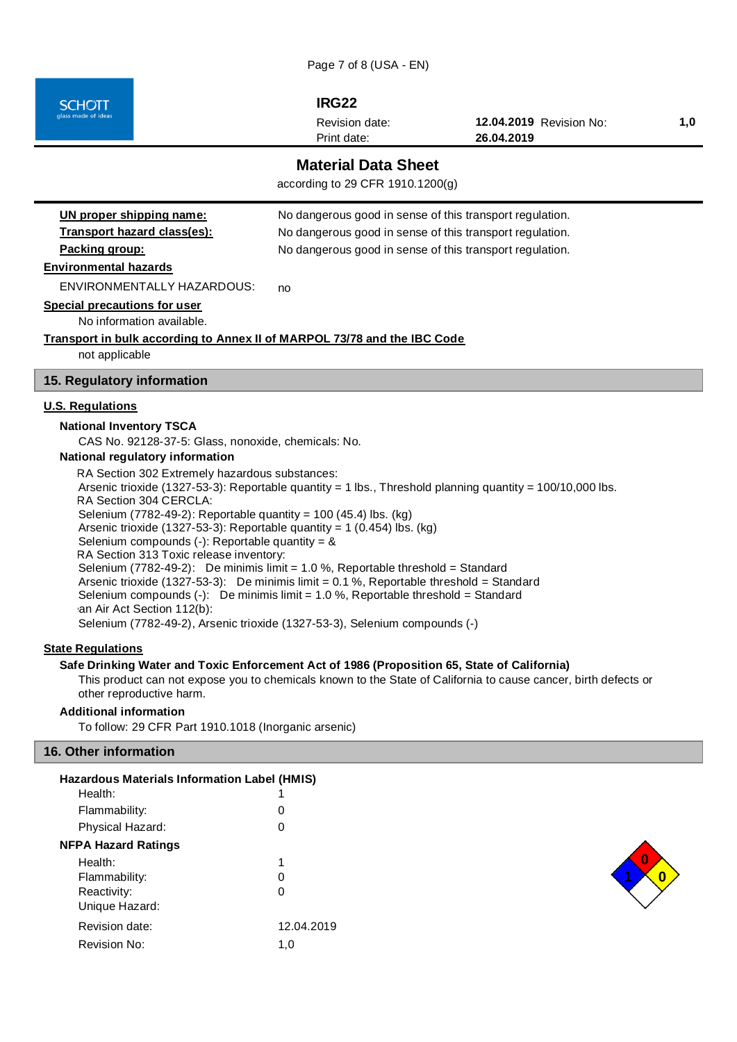Page 7 of 8 (USA - EN)

**IRG22**

Print date: Revision date: **12.04.2019** Revision No: **1,0 26.04.2019**

# **Material Data Sheet**

according to 29 CFR 1910.1200(g)

| UN proper shipping name:                                                                                                                                                       | No dangerous good in sense of this transport regulation.                   |  |  |
|--------------------------------------------------------------------------------------------------------------------------------------------------------------------------------|----------------------------------------------------------------------------|--|--|
| Transport hazard class(es):                                                                                                                                                    | No dangerous good in sense of this transport regulation.                   |  |  |
| Packing group:                                                                                                                                                                 | No dangerous good in sense of this transport regulation.                   |  |  |
| <b>Environmental hazards</b>                                                                                                                                                   |                                                                            |  |  |
| ENVIRONMENTALLY HAZARDOUS:                                                                                                                                                     | no                                                                         |  |  |
| <b>Special precautions for user</b>                                                                                                                                            |                                                                            |  |  |
| No information available.                                                                                                                                                      |                                                                            |  |  |
| Transport in bulk according to Annex II of MARPOL 73/78 and the IBC Code                                                                                                       |                                                                            |  |  |
| not applicable                                                                                                                                                                 |                                                                            |  |  |
| 15. Regulatory information                                                                                                                                                     |                                                                            |  |  |
| <b>U.S. Regulations</b>                                                                                                                                                        |                                                                            |  |  |
| <b>National Inventory TSCA</b>                                                                                                                                                 |                                                                            |  |  |
| CAS No. 92128-37-5: Glass, nonoxide, chemicals: No.                                                                                                                            |                                                                            |  |  |
| National regulatory information                                                                                                                                                |                                                                            |  |  |
| RA Section 302 Extremely hazardous substances:                                                                                                                                 |                                                                            |  |  |
| Arsenic trioxide (1327-53-3): Reportable quantity = 1 lbs., Threshold planning quantity = $100/10,000$ lbs.<br>RA Section 304 CERCLA:                                          |                                                                            |  |  |
| Selenium (7782-49-2): Reportable quantity = 100 (45.4) lbs. (kg)                                                                                                               |                                                                            |  |  |
| Arsenic trioxide (1327-53-3): Reportable quantity = $1$ (0.454) lbs. (kg)                                                                                                      |                                                                            |  |  |
| Selenium compounds (-): Reportable quantity = $&$                                                                                                                              |                                                                            |  |  |
| RA Section 313 Toxic release inventory:                                                                                                                                        |                                                                            |  |  |
| Selenium (7782-49-2): De minimis limit = $1.0$ %, Reportable threshold = Standard<br>Arsenic trioxide (1327-53-3): De minimis limit = $0.1$ %, Reportable threshold = Standard |                                                                            |  |  |
| Selenium compounds $(-)$ : De minimis limit = 1.0 %, Reportable threshold = Standard                                                                                           |                                                                            |  |  |
| an Air Act Section 112(b):                                                                                                                                                     |                                                                            |  |  |
|                                                                                                                                                                                | Selenium (7782-49-2), Arsenic trioxide (1327-53-3), Selenium compounds (-) |  |  |

# **State Regulations**

**SCHOTT** 

## **Safe Drinking Water and Toxic Enforcement Act of 1986 (Proposition 65, State of California)**

This product can not expose you to chemicals known to the State of California to cause cancer, birth defects or other reproductive harm.

#### **Additional information**

To follow: 29 CFR Part 1910.1018 (Inorganic arsenic)

# **16. Other information**

| <b>Hazardous Materials Information Label (HMIS)</b> |            |
|-----------------------------------------------------|------------|
| Health:                                             |            |
| Flammability:                                       | O          |
| Physical Hazard:                                    | 0          |
| <b>NFPA Hazard Ratings</b>                          |            |
| Health:                                             | 1          |
| Flammability:                                       | Ω          |
| Reactivity:                                         | Ω          |
| Unique Hazard:                                      |            |
| Revision date:                                      | 12.04.2019 |
| Revision No:                                        | 1.0        |